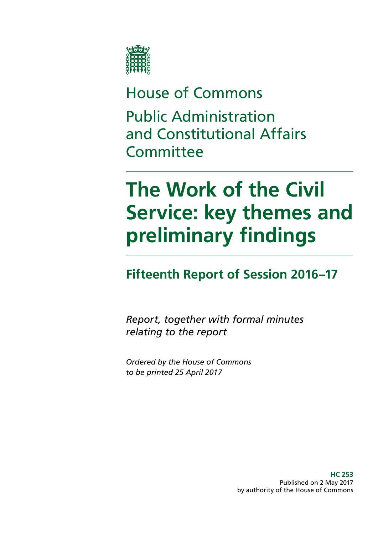

# House of Commons Public Administration and Constitutional Affairs **Committee**

# **The Work of the Civil Service: key themes and preliminary findings**

# **Fifteenth Report of Session 2016–17**

*Report, together with formal minutes relating to the report*

*Ordered by the House of Commons to be printed 25 April 2017*

> **HC 253** Published on 2 May 2017 by authority of the House of Commons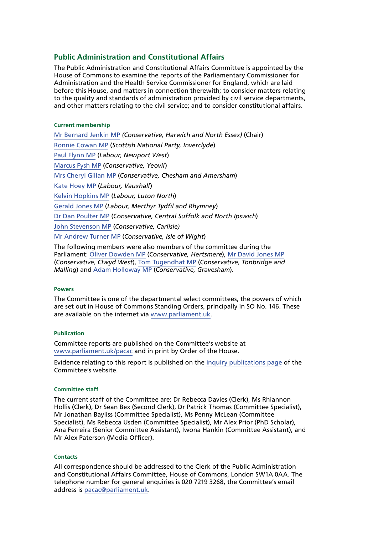#### **Public Administration and Constitutional Affairs**

The Public Administration and Constitutional Affairs Committee is appointed by the House of Commons to examine the reports of the Parliamentary Commissioner for Administration and the Health Service Commissioner for England, which are laid before this House, and matters in connection therewith; to consider matters relating to the quality and standards of administration provided by civil service departments, and other matters relating to the civil service; and to consider constitutional affairs.

#### **Current membership**

[Mr Bernard Jenkin MP](http://www.parliament.uk/biographies/commons/mr-bernard-jenkin/40) *(Conservative, Harwich and North Essex)* (Chair) [Ronnie Cowan MP](http://www.parliament.uk/biographies/commons/ronnie-cowan/4465) (*Scottish National Party, Inverclyde*) [Paul Flynn MP](http://www.parliament.uk/biographies/commons/paul-flynn/545) (*Labour, Newport West*) [Marcus Fysh MP](http://www.parliament.uk/biographies/commons/marcus-fysh/4446) (*Conservative, Yeovil*) [Mrs Cheryl Gillan MP](http://www.parliament.uk/biographies/commons/mrs-cheryl-gillan/18) (*Conservative, Chesham and Amersham*) [Kate Hoey MP](http://www.parliament.uk/biographies/commons/kate-hoey/210) (*Labour, Vauxhall*) [Kelvin Hopkins MP](http://www.parliament.uk/biographies/commons/kelvin-hopkins/2) (*Labour, Luton North*) [Gerald Jones MP](http://www.parliament.uk/biographies/commons/gerald-jones/4501) (*Labour, Merthyr Tydfil and Rhymney*) [Dr Dan Poulter MP](http://www.parliament.uk/biographies/commons/dr-dan-poulter/3932) (*Conservative, Central Suffolk and North Ipswich*) [John Stevenson MP](http://www.parliament.uk/biographies/commons/john-stevenson/3942) (*Conservative, Carlisle)* [Mr Andrew Turner MP](http://www.parliament.uk/biographies/commons/mr-andrew-turner/1426) (*Conservative, Isle of Wight*) The following members were also members of the committee during the

Parliament: [Oliver Dowden MP](http://www.parliament.uk/biographies/commons/oliver-dowden/4441) (*Conservative, Hertsmere*), [Mr David Jones MP](http://www.parliament.uk/biographies/commons/mr-david-jones/1502) (*Conservative, Clwyd West*), [Tom Tugendhat MP](http://www.parliament.uk/biographies/commons/tom-tugendhat/4462) (*Conservative, Tonbridge and Malling*) and [Adam Holloway MP](http://www.parliament.uk/biographies/commons/adam-holloway/1522) (*Conservative, Gravesham*).

#### **Powers**

The Committee is one of the departmental select committees, the powers of which are set out in House of Commons Standing Orders, principally in SO No. 146. These are available on the internet via [www.parliament.uk.](http://www.parliament.uk/)

#### **Publication**

Committee reports are published on the Committee's website at [www.parliament.uk/pacac](http://www.parliament.uk/business/committees/committees-a-z/commons-select/public-administration-and-constitutional-affairs-committee/) and in print by Order of the House.

Evidence relating to this report is published on the [inquiry publications page](http://www.parliament.uk/business/committees/committees-a-z/commons-select/public-administration-and-constitutional-affairs-committee/inquiries/parliament-2015/work-of-the-civil-service-15-16/publications/) of the Committee's website.

#### **Committee staff**

The current staff of the Committee are: Dr Rebecca Davies (Clerk), Ms Rhiannon Hollis (Clerk), Dr Sean Bex (Second Clerk), Dr Patrick Thomas (Committee Specialist), Mr Jonathan Bayliss (Committee Specialist), Ms Penny McLean (Committee Specialist), Ms Rebecca Usden (Committee Specialist), Mr Alex Prior (PhD Scholar), Ana Ferreira (Senior Committee Assistant), Iwona Hankin (Committee Assistant), and Mr Alex Paterson (Media Officer).

#### **Contacts**

All correspondence should be addressed to the Clerk of the Public Administration and Constitutional Affairs Committee, House of Commons, London SW1A 0AA. The telephone number for general enquiries is 020 7219 3268, the Committee's email address is [pacac@parliament.uk](mailto:pacac@parliament.uk).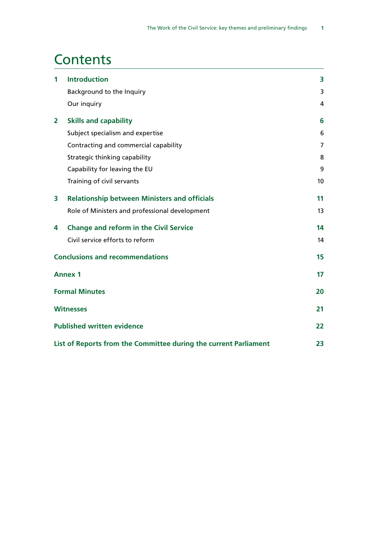# **Contents**

| 1 | <b>Introduction</b>                                              | 3              |
|---|------------------------------------------------------------------|----------------|
|   | Background to the Inquiry                                        | 3              |
|   | Our inquiry                                                      | $\overline{4}$ |
| 2 | <b>Skills and capability</b>                                     | 6              |
|   | Subject specialism and expertise                                 | 6              |
|   | Contracting and commercial capability                            | 7              |
|   | Strategic thinking capability                                    | 8              |
|   | Capability for leaving the EU                                    | 9              |
|   | Training of civil servants                                       | 10             |
| 3 | <b>Relationship between Ministers and officials</b>              | 11             |
|   | Role of Ministers and professional development                   | 13             |
| 4 | <b>Change and reform in the Civil Service</b>                    | 14             |
|   | Civil service efforts to reform                                  | 14             |
|   | <b>Conclusions and recommendations</b>                           | 15             |
|   | <b>Annex 1</b>                                                   | 17             |
|   | <b>Formal Minutes</b>                                            | 20             |
|   | <b>Witnesses</b>                                                 | 21             |
|   | <b>Published written evidence</b>                                | 22             |
|   | List of Reports from the Committee during the current Parliament | 23             |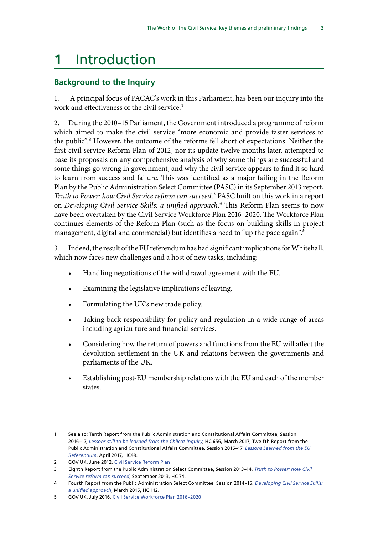# <span id="page-4-0"></span>**1** Introduction

### **Background to the Inquiry**

1. A principal focus of PACAC's work in this Parliament, has been our inquiry into the work and effectiveness of the civil service.<sup>1</sup>

2. During the 2010–15 Parliament, the Government introduced a programme of reform which aimed to make the civil service "more economic and provide faster services to the public".2 However, the outcome of the reforms fell short of expectations. Neither the first civil service Reform Plan of 2012, nor its update twelve months later, attempted to base its proposals on any comprehensive analysis of why some things are successful and some things go wrong in government, and why the civil service appears to find it so hard to learn from success and failure. This was identified as a major failing in the Reform Plan by the Public Administration Select Committee (PASC) in its September 2013 report, *Truth to Power: how Civil Service reform can succeed*.3 PASC built on this work in a report on *Developing Civil Service Skills: a unified approach*.4 This Reform Plan seems to now have been overtaken by the Civil Service Workforce Plan 2016–2020. The Workforce Plan continues elements of the Reform Plan (such as the focus on building skills in project management, digital and commercial) but identifies a need to "up the pace again".<sup>5</sup>

3. Indeed, the result of the EU referendum has had significant implications for Whitehall, which now faces new challenges and a host of new tasks, including:

- Handling negotiations of the withdrawal agreement with the EU.
- Examining the legislative implications of leaving.
- Formulating the UK's new trade policy.
- Taking back responsibility for policy and regulation in a wide range of areas including agriculture and financial services.
- Considering how the return of powers and functions from the EU will affect the devolution settlement in the UK and relations between the governments and parliaments of the UK.
- Establishing post-EU membership relations with the EU and each of the member states.

<sup>1</sup> See also: Tenth Report from the Public Administration and Constitutional Affairs Committee, Session 2016–17, *[Lessons still to be learned from the Chilcot Inquiry](https://www.publications.parliament.uk/pa/cm201617/cmselect/cmpubadm/656/656.pdf)*, HC 656, March 2017; Twelfth Report from the Public Administration and Constitutional Affairs Committee, Session 2016–17, *[Lessons Learned from the EU](https://www.publications.parliament.uk/pa/cm201617/cmselect/cmpubadm/496/496.pdf)  [Referendum](https://www.publications.parliament.uk/pa/cm201617/cmselect/cmpubadm/496/496.pdf)*, April 2017, HC49.

<sup>2</sup> GOV.UK, June 2012, [Civil Service Reform Plan](https://www.gov.uk/government/publications/civil-service-reform-plan)

<sup>3</sup> Eighth Report from the Public Administration Select Committee, Session 2013–14, *[Truth to Power: how Civil](https://www.publications.parliament.uk/pa/cm201314/cmselect/cmpubadm/74/74.pdf)  [Service reform can succeed](https://www.publications.parliament.uk/pa/cm201314/cmselect/cmpubadm/74/74.pdf)*, September 2013, HC 74.

<sup>4</sup> Fourth Report from the Public Administration Select Committee, Session 2014–15, *[Developing Civil Service Skills:](https://www.publications.parliament.uk/pa/cm201415/cmselect/cmpubadm/112/112.pdf)  [a unified approach](https://www.publications.parliament.uk/pa/cm201415/cmselect/cmpubadm/112/112.pdf)*, March 2015, HC 112.

<sup>5</sup> GOV.UK, July 2016, [Civil Service Workforce Plan 2016–2020](https://www.gov.uk/government/uploads/system/uploads/attachment_data/file/536961/civil_service_workforce_strategy_final.pdf)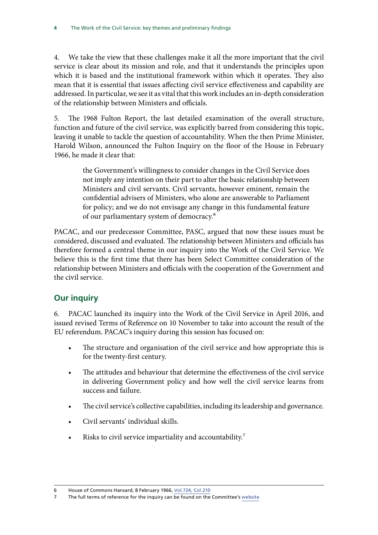<span id="page-5-0"></span>4. We take the view that these challenges make it all the more important that the civil service is clear about its mission and role, and that it understands the principles upon which it is based and the institutional framework within which it operates. They also mean that it is essential that issues affecting civil service effectiveness and capability are addressed. In particular, we see it as vital that this work includes an in-depth consideration of the relationship between Ministers and officials.

5. The 1968 Fulton Report, the last detailed examination of the overall structure, function and future of the civil service, was explicitly barred from considering this topic, leaving it unable to tackle the question of accountability. When the then Prime Minister, Harold Wilson, announced the Fulton Inquiry on the floor of the House in February 1966, he made it clear that:

> the Government's willingness to consider changes in the Civil Service does not imply any intention on their part to alter the basic relationship between Ministers and civil servants. Civil servants, however eminent, remain the confidential advisers of Ministers, who alone are answerable to Parliament for policy; and we do not envisage any change in this fundamental feature of our parliamentary system of democracy.6

PACAC, and our predecessor Committee, PASC, argued that now these issues must be considered, discussed and evaluated. The relationship between Ministers and officials has therefore formed a central theme in our inquiry into the Work of the Civil Service. We believe this is the first time that there has been Select Committee consideration of the relationship between Ministers and officials with the cooperation of the Government and the civil service.

### **Our inquiry**

6. PACAC launched its inquiry into the Work of the Civil Service in April 2016, and issued revised Terms of Reference on 10 November to take into account the result of the EU referendum. PACAC's inquiry during this session has focused on:

- The structure and organisation of the civil service and how appropriate this is for the twenty-first century.
- The attitudes and behaviour that determine the effectiveness of the civil service in delivering Government policy and how well the civil service learns from success and failure.
- The civil service's collective capabilities, including its leadership and governance.
- Civil servants' individual skills.
- Risks to civil service impartiality and accountability.<sup>7</sup>

<sup>6</sup> House of Commons Hansard, 8 February 1966, [Vol.724, Col.210](http://hansard.millbanksystems.com/commons/1966/feb/08/home-civil-service-committee)

<sup>7</sup> The full terms of reference for the inquiry can be found on the Committee's [website](http://www.parliament.uk/business/committees/committees-a-z/commons-select/public-administration-and-constitutional-affairs-committee/inquiries/parliament-2015/work-of-the-civil-service-15-16/publications/)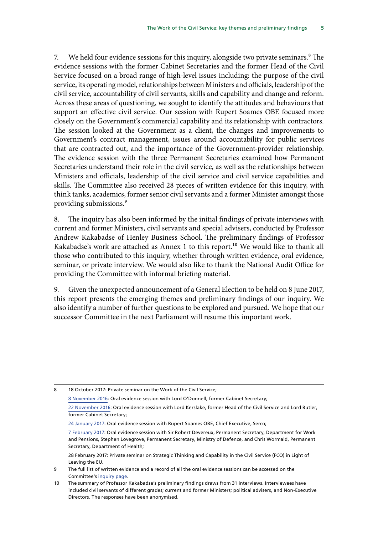7. We held four evidence sessions for this inquiry, alongside two private seminars.<sup>8</sup> The evidence sessions with the former Cabinet Secretaries and the former Head of the Civil Service focused on a broad range of high-level issues including: the purpose of the civil service, its operating model, relationships between Ministers and officials, leadership of the civil service, accountability of civil servants, skills and capability and change and reform. Across these areas of questioning, we sought to identify the attitudes and behaviours that support an effective civil service. Our session with Rupert Soames OBE focused more closely on the Government's commercial capability and its relationship with contractors. The session looked at the Government as a client, the changes and improvements to Government's contract management, issues around accountability for public services that are contracted out, and the importance of the Government-provider relationship. The evidence session with the three Permanent Secretaries examined how Permanent Secretaries understand their role in the civil service, as well as the relationships between Ministers and officials, leadership of the civil service and civil service capabilities and skills. The Committee also received 28 pieces of written evidence for this inquiry, with think tanks, academics, former senior civil servants and a former Minister amongst those providing submissions.9

8. The inquiry has also been informed by the initial findings of private interviews with current and former Ministers, civil servants and special advisers, conducted by Professor Andrew Kakabadse of Henley Business School. The preliminary findings of Professor Kakabadse's work are attached as Annex 1 to this report.<sup>10</sup> We would like to thank all those who contributed to this inquiry, whether through written evidence, oral evidence, seminar, or private interview. We would also like to thank the National Audit Office for providing the Committee with informal briefing material.

9. Given the unexpected announcement of a General Election to be held on 8 June 2017, this report presents the emerging themes and preliminary findings of our inquiry. We also identify a number of further questions to be explored and pursued. We hope that our successor Committee in the next Parliament will resume this important work.

8 18 October 2017: Private seminar on the Work of the Civil Service;

[8 November 2016:](http://data.parliament.uk/writtenevidence/committeeevidence.svc/evidencedocument/public-administration-and-constitutional-affairs-committee/the-work-of-the-civil-service/oral/42977.pdf) Oral evidence session with Lord O'Donnell, former Cabinet Secretary;

[<sup>22</sup> November 2016](http://data.parliament.uk/writtenevidence/committeeevidence.svc/evidencedocument/public-administration-and-constitutional-affairs-committee/the-work-of-the-civil-service/oral/43598.pdf): Oral evidence session with Lord Kerslake, former Head of the Civil Service and Lord Butler, former Cabinet Secretary;

[<sup>24</sup> January 2017](http://data.parliament.uk/writtenevidence/committeeevidence.svc/evidencedocument/public-administration-and-constitutional-affairs-committee/the-work-of-the-civil-service/oral/46076.pdf): Oral evidence session with Rupert Soames OBE, Chief Executive, Serco;

[<sup>7</sup> February 2017](http://data.parliament.uk/writtenevidence/committeeevidence.svc/evidencedocument/public-administration-and-constitutional-affairs-committee/the-work-of-the-civil-service/oral/46865.pdf): Oral evidence session with Sir Robert Devereux, Permanent Secretary, Department for Work and Pensions, Stephen Lovegrove, Permanent Secretary, Ministry of Defence, and Chris Wormald, Permanent Secretary, Department of Health;

<sup>28</sup> February 2017: Private seminar on Strategic Thinking and Capability in the Civil Service (FCO) in Light of Leaving the EU.

<sup>9</sup> The full list of written evidence and a record of all the oral evidence sessions can be accessed on the Committee's [inquiry page](http://www.parliament.uk/business/committees/committees-a-z/commons-select/public-administration-and-constitutional-affairs-committee/inquiries/parliament-2015/work-of-the-civil-service-15-16/publications/).

<sup>10</sup> The summary of Professor Kakabadse's preliminary findings draws from 31 interviews. Interviewees have included civil servants of different grades; current and former Ministers; political advisers, and Non-Executive Directors. The responses have been anonymised.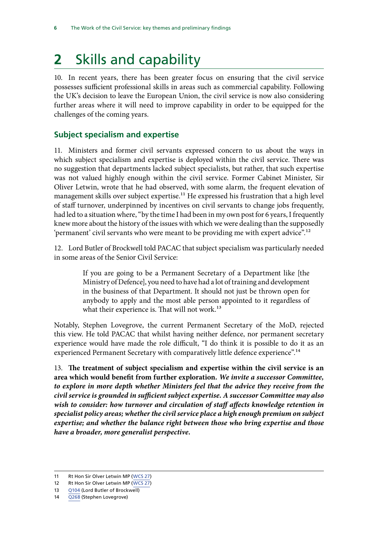# <span id="page-7-0"></span>**2** Skills and capability

10. In recent years, there has been greater focus on ensuring that the civil service possesses sufficient professional skills in areas such as commercial capability. Following the UK's decision to leave the European Union, the civil service is now also considering further areas where it will need to improve capability in order to be equipped for the challenges of the coming years.

### **Subject specialism and expertise**

11. Ministers and former civil servants expressed concern to us about the ways in which subject specialism and expertise is deployed within the civil service. There was no suggestion that departments lacked subject specialists, but rather, that such expertise was not valued highly enough within the civil service. Former Cabinet Minister, Sir Oliver Letwin, wrote that he had observed, with some alarm, the frequent elevation of management skills over subject expertise.<sup>11</sup> He expressed his frustration that a high level of staff turnover, underpinned by incentives on civil servants to change jobs frequently, had led to a situation where, "by the time I had been in my own post for 6 years, I frequently knew more about the history of the issues with which we were dealing than the supposedly 'permanent' civil servants who were meant to be providing me with expert advice".<sup>12</sup>

12. Lord Butler of Brockwell told PACAC that subject specialism was particularly needed in some areas of the Senior Civil Service:

> If you are going to be a Permanent Secretary of a Department like [the Ministry of Defence], you need to have had a lot of training and development in the business of that Department. It should not just be thrown open for anybody to apply and the most able person appointed to it regardless of what their experience is. That will not work.<sup>13</sup>

Notably, Stephen Lovegrove, the current Permanent Secretary of the MoD, rejected this view. He told PACAC that whilst having neither defence, nor permanent secretary experience would have made the role difficult, "I do think it is possible to do it as an experienced Permanent Secretary with comparatively little defence experience".<sup>14</sup>

13. **The treatment of subject specialism and expertise within the civil service is an area which would benefit from further exploration.** *We invite a successor Committee, to explore in more depth whether Ministers feel that the advice they receive from the civil service is grounded in sufficient subject expertise. A successor Committee may also*  wish to consider: how turnover and circulation of staff affects knowledge retention in *specialist policy areas; whether the civil service place a high enough premium on subject expertise; and whether the balance right between those who bring expertise and those have a broader, more generalist perspective.*

<sup>11</sup> Rt Hon Sir Olver Letwin MP ([WCS 27](http://data.parliament.uk/writtenevidence/committeeevidence.svc/evidencedocument/public-administration-and-constitutional-affairs-committee/the-work-of-the-civil-service/written/47070.pdf))

<sup>12</sup> Rt Hon Sir Olver Letwin MP ([WCS 27](http://data.parliament.uk/writtenevidence/committeeevidence.svc/evidencedocument/public-administration-and-constitutional-affairs-committee/the-work-of-the-civil-service/written/47070.pdf))

<sup>13</sup> [Q104](http://data.parliament.uk/writtenevidence/committeeevidence.svc/evidencedocument/public-administration-and-constitutional-affairs-committee/the-work-of-the-civil-service/oral/43598.pdf) (Lord Butler of Brockwell)

<sup>14</sup> [Q268](http://data.parliament.uk/writtenevidence/committeeevidence.svc/evidencedocument/public-administration-and-constitutional-affairs-committee/the-work-of-the-civil-service/oral/46865.pdf) (Stephen Lovegrove)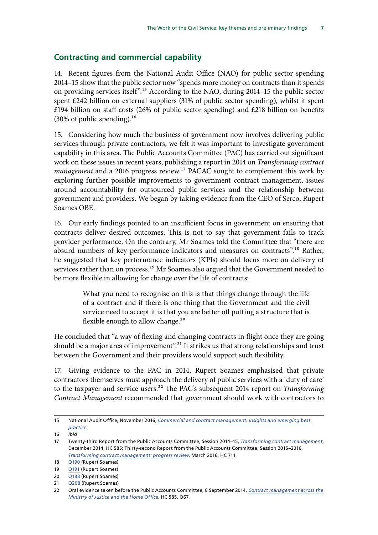### <span id="page-8-0"></span>**Contracting and commercial capability**

14. Recent figures from the National Audit Office (NAO) for public sector spending 2014–15 show that the public sector now "spends more money on contracts than it spends on providing services itself".15 According to the NAO, during 2014–15 the public sector spent £242 billion on external suppliers (31% of public sector spending), whilst it spent  $£194$  billion on staff costs (26% of public sector spending) and £218 billion on benefits  $(30\% \text{ of public spending}).$ <sup>16</sup>

15. Considering how much the business of government now involves delivering public services through private contractors, we felt it was important to investigate government capability in this area. The Public Accounts Committee (PAC) has carried out significant work on these issues in recent years, publishing a report in 2014 on *Transforming contract management* and a 2016 progress review.<sup>17</sup> PACAC sought to complement this work by exploring further possible improvements to government contract management, issues around accountability for outsourced public services and the relationship between government and providers. We began by taking evidence from the CEO of Serco, Rupert Soames OBE.

16. Our early findings pointed to an insufficient focus in government on ensuring that contracts deliver desired outcomes. This is not to say that government fails to track provider performance. On the contrary, Mr Soames told the Committee that "there are absurd numbers of key performance indicators and measures on contracts".<sup>18</sup> Rather, he suggested that key performance indicators (KPIs) should focus more on delivery of services rather than on process.<sup>19</sup> Mr Soames also argued that the Government needed to be more flexible in allowing for change over the life of contracts:

> What you need to recognise on this is that things change through the life of a contract and if there is one thing that the Government and the civil service need to accept it is that you are better off putting a structure that is flexible enough to allow change.<sup>20</sup>

He concluded that "a way of flexing and changing contracts in flight once they are going should be a major area of improvement".21 It strikes us that strong relationships and trust between the Government and their providers would support such flexibility.

17. Giving evidence to the PAC in 2014, Rupert Soames emphasised that private contractors themselves must approach the delivery of public services with a 'duty of care' to the taxpayer and service users.22 The PAC's subsequent 2014 report on *Transforming Contract Management* recommended that government should work with contractors to

<sup>15</sup> National Audit Office, November 2016, *[Commercial and contract management: insights and emerging best](https://www.nao.org.uk/wp-content/uploads/2016/11/Commercial-and-contract-management-insights-and-emerging-best-practice.pdf)  [practice](https://www.nao.org.uk/wp-content/uploads/2016/11/Commercial-and-contract-management-insights-and-emerging-best-practice.pdf)*.

<sup>16</sup> *Ibid*

<sup>17</sup> Twenty-third Report from the Public Accounts Committee, Session 2014–15, *[Transforming contract management](https://www.publications.parliament.uk/pa/cm201415/cmselect/cmpubacc/585/585.pdf)*, December 2014, HC 585; Thirty-second Report from the Public Accounts Committee, Session 2015–2016, *[Transforming contract management: progress review](https://www.publications.parliament.uk/pa/cm201516/cmselect/cmpubacc/711/711.pdf)*, March 2016, HC 711.

<sup>18</sup> [Q190](http://data.parliament.uk/writtenevidence/committeeevidence.svc/evidencedocument/public-administration-and-constitutional-affairs-committee/the-work-of-the-civil-service/oral/46076.pdf) (Rupert Soames)

<sup>19</sup> [Q191](http://data.parliament.uk/writtenevidence/committeeevidence.svc/evidencedocument/public-administration-and-constitutional-affairs-committee/the-work-of-the-civil-service/oral/46076.pdf) (Rupert Soames)

<sup>20</sup> [Q188](http://data.parliament.uk/writtenevidence/committeeevidence.svc/evidencedocument/public-administration-and-constitutional-affairs-committee/the-work-of-the-civil-service/oral/46076.pdf) (Rupert Soames)

<sup>21</sup> [Q208](http://data.parliament.uk/writtenevidence/committeeevidence.svc/evidencedocument/public-administration-and-constitutional-affairs-committee/the-work-of-the-civil-service/oral/46076.pdf) (Rupert Soames)

<sup>22</sup> Oral evidence taken before the Public Accounts Committee, 8 September 2014, *[Contract management across the](http://data.parliament.uk/writtenevidence/committeeevidence.svc/evidencedocument/public-accounts-committee/transforming-government-contract-management/oral/12386.pdf)  [Ministry of Justice and the Home Office](http://data.parliament.uk/writtenevidence/committeeevidence.svc/evidencedocument/public-accounts-committee/transforming-government-contract-management/oral/12386.pdf)*, HC 585, Q67.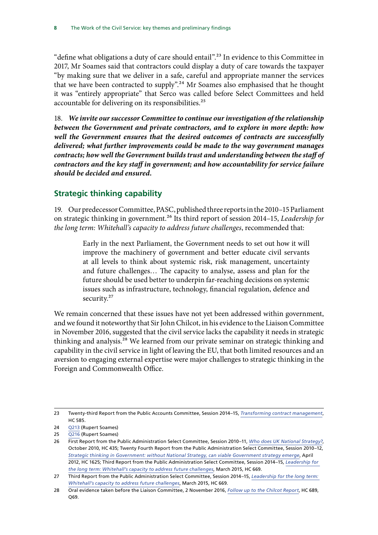<span id="page-9-0"></span>"define what obligations a duty of care should entail".<sup>23</sup> In evidence to this Committee in 2017, Mr Soames said that contractors could display a duty of care towards the taxpayer "by making sure that we deliver in a safe, careful and appropriate manner the services that we have been contracted to supply".<sup>24</sup> Mr Soames also emphasised that he thought it was "entirely appropriate" that Serco was called before Select Committees and held accountable for delivering on its responsibilities.<sup>25</sup>

18. *We invite our successor Committee to continue our investigation of the relationship between the Government and private contractors, and to explore in more depth: how well the Government ensures that the desired outcomes of contracts are successfully delivered; what further improvements could be made to the way government manages contracts; how well the Government builds trust and understanding between the staff of contractors and the key staff in government; and how accountability for service failure should be decided and ensured.*

### **Strategic thinking capability**

19. Our predecessor Committee, PASC, published three reports in the 2010–15 Parliament on strategic thinking in government.26 Its third report of session 2014–15, *Leadership for the long term: Whitehall's capacity to address future challenges*, recommended that:

> Early in the next Parliament, the Government needs to set out how it will improve the machinery of government and better educate civil servants at all levels to think about systemic risk, risk management, uncertainty and future challenges… The capacity to analyse, assess and plan for the future should be used better to underpin far-reaching decisions on systemic issues such as infrastructure, technology, financial regulation, defence and security.<sup>27</sup>

We remain concerned that these issues have not yet been addressed within government, and we found it noteworthy that Sir John Chilcot, in his evidence to the Liaison Committee in November 2016, suggested that the civil service lacks the capability it needs in strategic thinking and analysis.<sup>28</sup> We learned from our private seminar on strategic thinking and capability in the civil service in light of leaving the EU, that both limited resources and an aversion to engaging external expertise were major challenges to strategic thinking in the Foreign and Commonwealth Office.

<sup>23</sup> Twenty-third Report from the Public Accounts Committee, Session 2014–15, *[Transforming contract management](https://www.publications.parliament.uk/pa/cm201415/cmselect/cmpubacc/585/585.pdf)*, HC 585.

<sup>24</sup> [Q213](http://data.parliament.uk/writtenevidence/committeeevidence.svc/evidencedocument/public-administration-and-constitutional-affairs-committee/the-work-of-the-civil-service/oral/46076.pdf) (Rupert Soames)

<sup>25</sup> [Q216](http://data.parliament.uk/writtenevidence/committeeevidence.svc/evidencedocument/public-administration-and-constitutional-affairs-committee/the-work-of-the-civil-service/oral/46076.pdf) (Rupert Soames)

<sup>26</sup> First Report from the Public Administration Select Committee, Session 2010–11, *[Who does UK National Strategy?](http://www.publications.parliament.uk/pa/cm201011/cmselect/cmpubadm/435/435.pdf)*, October 2010, HC 435; Twenty Fourth Report from the Public Administration Select Committee, Session 2010–12, *[Strategic thinking in Government: without National Strategy, can viable Government strategy emerge](http://www.publications.parliament.uk/pa/cm201012/cmselect/cmpubadm/1625/1625.pdf)*, April 2012, HC 1625; Third Report from the Public Administration Select Committee, Session 2014–15, *[Leadership for](http://www.publications.parliament.uk/pa/cm201415/cmselect/cmpubadm/669/669.pdf)  [the long term: Whitehall's capacity to address future challenges](http://www.publications.parliament.uk/pa/cm201415/cmselect/cmpubadm/669/669.pdf)*, March 2015, HC 669.

<sup>27</sup> Third Report from the Public Administration Select Committee, Session 2014–15, *[Leadership for the long term:](http://www.publications.parliament.uk/pa/cm201415/cmselect/cmpubadm/669/669.pdf)  [Whitehall's capacity to address future challenges](http://www.publications.parliament.uk/pa/cm201415/cmselect/cmpubadm/669/669.pdf)*, March 2015, HC 669.

<sup>28</sup> Oral evidence taken before the Liaison Committee, 2 November 2016, *[Follow](http://www.parliament.uk/documents/commons-committees/liaison/John-Chilcot-oral-evidence.pdf) up to [the](http://www.parliament.uk/documents/commons-committees/liaison/John-Chilcot-oral-evidence.pdf) Chilcot Report*, HC 689, Q69.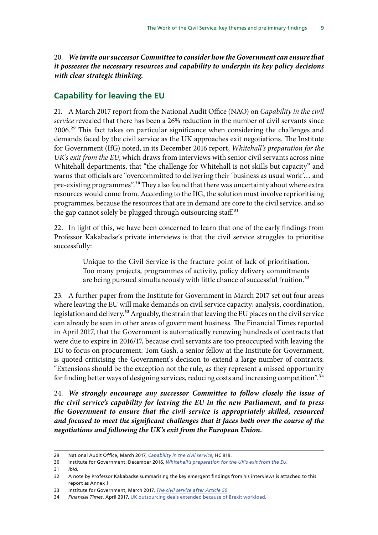<span id="page-10-0"></span>20. *We invite our successor Committee to consider how the Government can ensure that it possesses the necessary resources and capability to underpin its key policy decisions with clear strategic thinking.*

#### **Capability for leaving the EU**

21. A March 2017 report from the National Audit Office (NAO) on *Capability in the civil service* revealed that there has been a 26% reduction in the number of civil servants since 2006.29 This fact takes on particular significance when considering the challenges and demands faced by the civil service as the UK approaches exit negotiations. The Institute for Government (IfG) noted, in its December 2016 report, *Whitehall's preparation for the UK's exit from the EU*, which draws from interviews with senior civil servants across nine Whitehall departments, that "the challenge for Whitehall is not skills but capacity" and warns that officials are "overcommitted to delivering their 'business as usual work'… and pre-existing programmes".<sup>30</sup> They also found that there was uncertainty about where extra resources would come from. According to the IfG, the solution must involve reprioritising programmes, because the resources that are in demand are core to the civil service, and so the gap cannot solely be plugged through outsourcing staff.<sup>31</sup>

22. In light of this, we have been concerned to learn that one of the early findings from Professor Kakabadse's private interviews is that the civil service struggles to prioritise successfully:

> Unique to the Civil Service is the fracture point of lack of prioritisation. Too many projects, programmes of activity, policy delivery commitments are being pursued simultaneously with little chance of successful fruition.<sup>32</sup>

23. A further paper from the Institute for Government in March 2017 set out four areas where leaving the EU will make demands on civil service capacity: analysis, coordination, legislation and delivery.<sup>33</sup> Arguably, the strain that leaving the EU places on the civil service can already be seen in other areas of government business. The Financial Times reported in April 2017, that the Government is automatically renewing hundreds of contracts that were due to expire in 2016/17, because civil servants are too preoccupied with leaving the EU to focus on procurement. Tom Gash, a senior fellow at the Institute for Government, is quoted criticising the Government's decision to extend a large number of contracts: "Extensions should be the exception not the rule, as they represent a missed opportunity for finding better ways of designing services, reducing costs and increasing competition".<sup>34</sup>

24. *We strongly encourage any successor Committee to follow closely the issue of the civil service's capability for leaving the EU in the new Parliament, and to press the Government to ensure that the civil service is appropriately skilled, resourced and focused to meet the significant challenges that it faces both over the course of the negotiations and following the UK's exit from the European Union.*

31 *Ibid.*

<sup>29</sup> National Audit Office, March 2017, *[Capability in the civil service](https://www.nao.org.uk/wp-content/uploads/2017/03/Capability-in-the-civil-service.pdf)*, HC 919.

<sup>30</sup> Institute for Government, December 2016, *[Whitehall's preparation for the UK's exit from the EU](https://www.instituteforgovernment.org.uk/sites/default/files/publications/IFGJ5003_Whitehalls_preparation_131216_V10.pdf)*.

<sup>32</sup> A note by Professor Kakabadse summarising the key emergent findings from his interviews is attached to this report as Annex 1

<sup>33</sup> Institute for Government, March 2017, *[The civil service after Article 50](https://www.instituteforgovernment.org.uk/sites/default/files/publications/IFGJ5327_Report_Brexit_Civil_Service_080317_WEB.pdf)*

<sup>34</sup> *Financial Times*, April 2017, [UK outsourcing deals extended because of Brexit workload.](https://www.ft.com/content/fa80d526-1b7a-11e7-a266-12672483791a)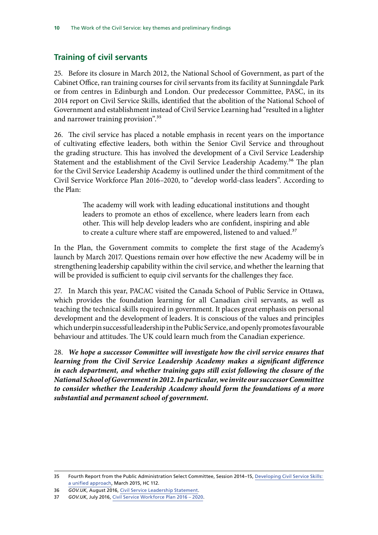### <span id="page-11-0"></span>**Training of civil servants**

25. Before its closure in March 2012, the National School of Government, as part of the Cabinet Office, ran training courses for civil servants from its facility at Sunningdale Park or from centres in Edinburgh and London. Our predecessor Committee, PASC, in its 2014 report on Civil Service Skills, identified that the abolition of the National School of Government and establishment instead of Civil Service Learning had "resulted in a lighter and narrower training provision".<sup>35</sup>

26. The civil service has placed a notable emphasis in recent years on the importance of cultivating effective leaders, both within the Senior Civil Service and throughout the grading structure. This has involved the development of a Civil Service Leadership Statement and the establishment of the Civil Service Leadership Academy.<sup>36</sup> The plan for the Civil Service Leadership Academy is outlined under the third commitment of the Civil Service Workforce Plan 2016–2020, to "develop world-class leaders". According to the Plan:

> The academy will work with leading educational institutions and thought leaders to promote an ethos of excellence, where leaders learn from each other. This will help develop leaders who are confident, inspiring and able to create a culture where staff are empowered, listened to and valued.<sup>37</sup>

In the Plan, the Government commits to complete the first stage of the Academy's launch by March 2017. Questions remain over how effective the new Academy will be in strengthening leadership capability within the civil service, and whether the learning that will be provided is sufficient to equip civil servants for the challenges they face.

27. In March this year, PACAC visited the Canada School of Public Service in Ottawa, which provides the foundation learning for all Canadian civil servants, as well as teaching the technical skills required in government. It places great emphasis on personal development and the development of leaders. It is conscious of the values and principles which underpin successful leadership in the Public Service, and openly promotes favourable behaviour and attitudes. The UK could learn much from the Canadian experience.

28. *We hope a successor Committee will investigate how the civil service ensures that learning from the Civil Service Leadership Academy makes a significant difference in each department, and whether training gaps still exist following the closure of the National School of Government in 2012. In particular, we invite our successor Committee to consider whether the Leadership Academy should form the foundations of a more substantial and permanent school of government.*

<sup>35</sup> Fourth Report from the Public Administration Select Committee, Session 2014–15, [Developing Civil Service Skills:](https://www.publications.parliament.uk/pa/cm201415/cmselect/cmpubadm/112/112.pdf)  [a unified approach](https://www.publications.parliament.uk/pa/cm201415/cmselect/cmpubadm/112/112.pdf), March 2015, HC 112.

<sup>36</sup> *GOV.UK*, August 2016, [Civil Service Leadership Statement.](https://www.gov.uk/government/publications/civil-service-leadership-statement/civil-service-leadership-statement)

<sup>37</sup> *GOV.UK*, July 2016, [Civil Service Workforce Plan 2016 – 2020](https://www.gov.uk/government/uploads/system/uploads/attachment_data/file/536961/civil_service_workforce_strategy_final.pdf).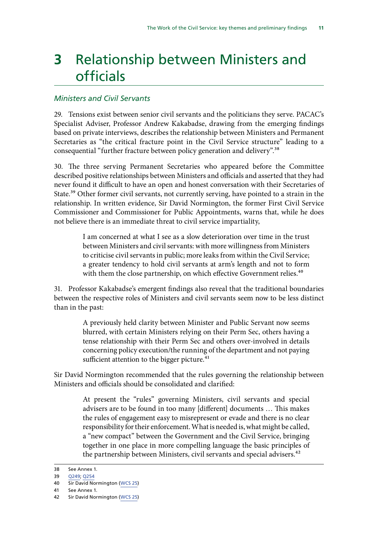# <span id="page-12-0"></span>**3** Relationship between Ministers and officials

### *Ministers and Civil Servants*

29. Tensions exist between senior civil servants and the politicians they serve. PACAC's Specialist Adviser, Professor Andrew Kakabadse, drawing from the emerging findings based on private interviews, describes the relationship between Ministers and Permanent Secretaries as "the critical fracture point in the Civil Service structure" leading to a consequential "further fracture between policy generation and delivery".38

30. The three serving Permanent Secretaries who appeared before the Committee described positive relationships between Ministers and officials and asserted that they had never found it difficult to have an open and honest conversation with their Secretaries of State.<sup>39</sup> Other former civil servants, not currently serving, have pointed to a strain in the relationship. In written evidence, Sir David Normington, the former First Civil Service Commissioner and Commissioner for Public Appointments, warns that, while he does not believe there is an immediate threat to civil service impartiality,

> I am concerned at what I see as a slow deterioration over time in the trust between Ministers and civil servants: with more willingness from Ministers to criticise civil servants in public; more leaks from within the Civil Service; a greater tendency to hold civil servants at arm's length and not to form with them the close partnership, on which effective Government relies.<sup>40</sup>

31. Professor Kakabadse's emergent findings also reveal that the traditional boundaries between the respective roles of Ministers and civil servants seem now to be less distinct than in the past:

> A previously held clarity between Minister and Public Servant now seems blurred, with certain Ministers relying on their Perm Sec, others having a tense relationship with their Perm Sec and others over-involved in details concerning policy execution/the running of the department and not paying sufficient attention to the bigger picture. $41$

Sir David Normington recommended that the rules governing the relationship between Ministers and officials should be consolidated and clarified:

> At present the "rules" governing Ministers, civil servants and special advisers are to be found in too many [different] documents … This makes the rules of engagement easy to misrepresent or evade and there is no clear responsibility for their enforcement. What is needed is, what might be called, a "new compact" between the Government and the Civil Service, bringing together in one place in more compelling language the basic principles of the partnership between Ministers, civil servants and special advisers.<sup>42</sup>

<sup>38</sup> See Annex 1.

<sup>39</sup> [Q249](http://data.parliament.uk/writtenevidence/committeeevidence.svc/evidencedocument/public-administration-and-constitutional-affairs-committee/the-work-of-the-civil-service/oral/46865.pdf); [Q254](http://data.parliament.uk/writtenevidence/committeeevidence.svc/evidencedocument/public-administration-and-constitutional-affairs-committee/the-work-of-the-civil-service/oral/46865.pdf)

<sup>40</sup> Sir David Normington ([WCS 25\)](http://data.parliament.uk/writtenevidence/committeeevidence.svc/evidencedocument/public-administration-and-constitutional-affairs-committee/the-work-of-the-civil-service/written/46384.pdf)

<sup>41</sup> See Annex 1.

<sup>42</sup> Sir David Normington ([WCS 25\)](http://data.parliament.uk/writtenevidence/committeeevidence.svc/evidencedocument/public-administration-and-constitutional-affairs-committee/the-work-of-the-civil-service/written/46384.pdf)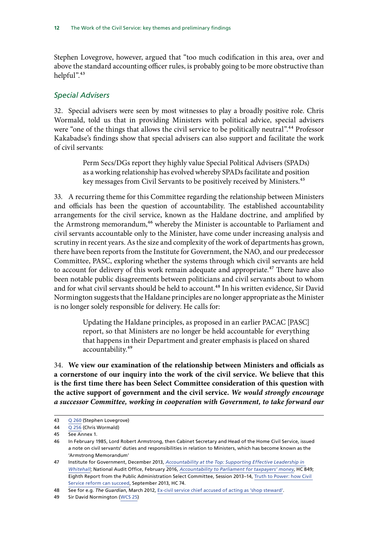Stephen Lovegrove, however, argued that "too much codification in this area, over and above the standard accounting officer rules, is probably going to be more obstructive than helpful".<sup>43</sup>

#### *Special Advisers*

32. Special advisers were seen by most witnesses to play a broadly positive role. Chris Wormald, told us that in providing Ministers with political advice, special advisers were "one of the things that allows the civil service to be politically neutral".<sup>44</sup> Professor Kakabadse's findings show that special advisers can also support and facilitate the work of civil servants:

> Perm Secs/DGs report they highly value Special Political Advisers (SPADs) as a working relationship has evolved whereby SPADs facilitate and position key messages from Civil Servants to be positively received by Ministers.<sup>45</sup>

33. A recurring theme for this Committee regarding the relationship between Ministers and officials has been the question of accountability. The established accountability arrangements for the civil service, known as the Haldane doctrine, and amplified by the Armstrong memorandum,<sup>46</sup> whereby the Minister is accountable to Parliament and civil servants accountable only to the Minister, have come under increasing analysis and scrutiny in recent years. As the size and complexity of the work of departments has grown, there have been reports from the Institute for Government, the NAO, and our predecessor Committee, PASC, exploring whether the systems through which civil servants are held to account for delivery of this work remain adequate and appropriate.<sup>47</sup> There have also been notable public disagreements between politicians and civil servants about to whom and for what civil servants should be held to account.<sup>48</sup> In his written evidence, Sir David Normington suggests that the Haldane principles are no longer appropriate as the Minister is no longer solely responsible for delivery. He calls for:

> Updating the Haldane principles, as proposed in an earlier PACAC [PASC] report, so that Ministers are no longer be held accountable for everything that happens in their Department and greater emphasis is placed on shared accountability.49

34. **We view our examination of the relationship between Ministers and officials as a cornerstone of our inquiry into the work of the civil service. We believe that this is the first time there has been Select Committee consideration of this question with the active support of government and the civil service.** *We would strongly encourage a successor Committee, working in cooperation with Government, to take forward our* 

<sup>43</sup> Q [260](http://data.parliament.uk/writtenevidence/committeeevidence.svc/evidencedocument/public-administration-and-constitutional-affairs-committee/the-work-of-the-civil-service/oral/46865.pdf) (Stephen Lovegrove)

<sup>44</sup> Q [256](http://data.parliament.uk/writtenevidence/committeeevidence.svc/evidencedocument/public-administration-and-constitutional-affairs-committee/the-work-of-the-civil-service/oral/46865.pdf) (Chris Wormald)

<sup>45</sup> See Annex 1.

<sup>46</sup> In February 1985, Lord Robert Armstrong, then Cabinet Secretary and Head of the Home Civil Service, issued a note on civil servants' duties and responsibilities in relation to Ministers, which has become known as the 'Armstrong Memorandum'

<sup>47</sup> Institute for Government, December 2013, *[Accountability at the Top: Supporting Effective Leadership in](https://www.instituteforgovernment.org.uk/sites/default/files/publications/Accountability%20at%20the%20top%20-%20final.pdf)  [Whitehall](https://www.instituteforgovernment.org.uk/sites/default/files/publications/Accountability%20at%20the%20top%20-%20final.pdf)*; National Audit Office, February 2016, *[Accountability to Parliament for taxpayers' money](https://www.nao.org.uk/wp-content/uploads/2016/02/Accountability-for-Taxpayers-money.pdf)*, HC 849; Eighth Report from the Public Administration Select Committee, Session 2013–14, [Truth to Power: how Civil](https://www.publications.parliament.uk/pa/cm201314/cmselect/cmpubadm/74/74.pdf)  [Service reform can succeed](https://www.publications.parliament.uk/pa/cm201314/cmselect/cmpubadm/74/74.pdf), September 2013, HC 74.

<sup>48</sup> See for e.g. *The Guardian*, March 2012, [Ex-civil service chief accused of acting as 'shop steward'](https://www.theguardian.com/politics/2012/mar/15/ex-civil-service-chief-accused).

<sup>49</sup> Sir David Normington ([WCS 25\)](http://data.parliament.uk/writtenevidence/committeeevidence.svc/evidencedocument/public-administration-and-constitutional-affairs-committee/the-work-of-the-civil-service/written/46384.pdf)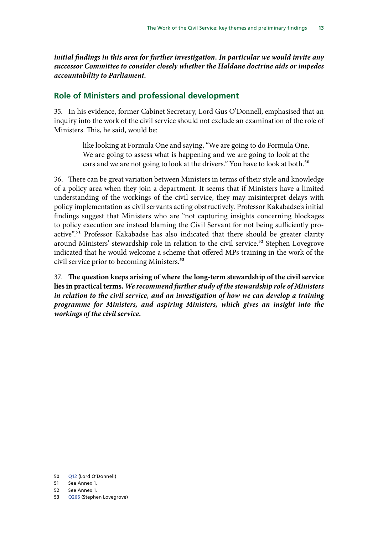<span id="page-14-0"></span>*initial findings in this area for further investigation. In particular we would invite any successor Committee to consider closely whether the Haldane doctrine aids or impedes accountability to Parliament.*

#### **Role of Ministers and professional development**

35. In his evidence, former Cabinet Secretary, Lord Gus O'Donnell, emphasised that an inquiry into the work of the civil service should not exclude an examination of the role of Ministers. This, he said, would be:

> like looking at Formula One and saying, "We are going to do Formula One. We are going to assess what is happening and we are going to look at the cars and we are not going to look at the drivers." You have to look at both.<sup>50</sup>

36. There can be great variation between Ministers in terms of their style and knowledge of a policy area when they join a department. It seems that if Ministers have a limited understanding of the workings of the civil service, they may misinterpret delays with policy implementation as civil servants acting obstructively. Professor Kakabadse's initial findings suggest that Ministers who are "not capturing insights concerning blockages to policy execution are instead blaming the Civil Servant for not being sufficiently proactive".51 Professor Kakabadse has also indicated that there should be greater clarity around Ministers' stewardship role in relation to the civil service.<sup>52</sup> Stephen Lovegrove indicated that he would welcome a scheme that offered MPs training in the work of the civil service prior to becoming Ministers.<sup>53</sup>

37. **The question keeps arising of where the long-term stewardship of the civil service lies in practical terms.** *We recommend further study of the stewardship role of Ministers in relation to the civil service, and an investigation of how we can develop a training programme for Ministers, and aspiring Ministers, which gives an insight into the workings of the civil service.*

<sup>50</sup> [Q12](http://data.parliament.uk/writtenevidence/committeeevidence.svc/evidencedocument/public-administration-and-constitutional-affairs-committee/the-work-of-the-civil-service/oral/42977.pdf) (Lord O'Donnell)

<sup>51</sup> See Annex 1.

<sup>52</sup> See Annex 1.

<sup>53</sup> [Q266](http://data.parliament.uk/writtenevidence/committeeevidence.svc/evidencedocument/public-administration-and-constitutional-affairs-committee/the-work-of-the-civil-service/oral/46865.pdf) (Stephen Lovegrove)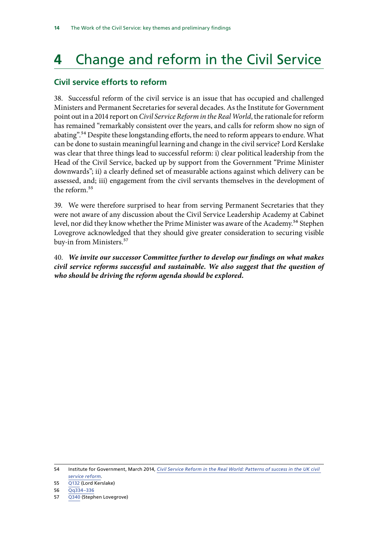# <span id="page-15-0"></span>**4** Change and reform in the Civil Service

### **Civil service efforts to reform**

38. Successful reform of the civil service is an issue that has occupied and challenged Ministers and Permanent Secretaries for several decades. As the Institute for Government point out in a 2014 report on *Civil Service Reform in the Real World*, the rationale for reform has remained "remarkably consistent over the years, and calls for reform show no sign of abating".<sup>54</sup> Despite these longstanding efforts, the need to reform appears to endure. What can be done to sustain meaningful learning and change in the civil service? Lord Kerslake was clear that three things lead to successful reform: i) clear political leadership from the Head of the Civil Service, backed up by support from the Government "Prime Minister downwards"; ii) a clearly defined set of measurable actions against which delivery can be assessed, and; iii) engagement from the civil servants themselves in the development of the reform.<sup>55</sup>

39. We were therefore surprised to hear from serving Permanent Secretaries that they were not aware of any discussion about the Civil Service Leadership Academy at Cabinet level, nor did they know whether the Prime Minister was aware of the Academy.<sup>56</sup> Stephen Lovegrove acknowledged that they should give greater consideration to securing visible buy-in from Ministers.<sup>57</sup>

40. *We invite our successor Committee further to develop our findings on what makes civil service reforms successful and sustainable. We also suggest that the question of who should be driving the reform agenda should be explored.*

54 Institute for Government, March 2014, *[Civil Service Reform in the Real World: Patterns of success in the UK civil](https://www.instituteforgovernment.org.uk/sites/default/files/publications/260314%20CSRW%20-%20final.pdf)  [service reform](https://www.instituteforgovernment.org.uk/sites/default/files/publications/260314%20CSRW%20-%20final.pdf)*.

55 [Q132](http://data.parliament.uk/writtenevidence/committeeevidence.svc/evidencedocument/public-administration-and-constitutional-affairs-committee/the-work-of-the-civil-service/oral/43598.pdf) (Lord Kerslake)

56 [Qq334–336](http://data.parliament.uk/writtenevidence/committeeevidence.svc/evidencedocument/public-administration-and-constitutional-affairs-committee/the-work-of-the-civil-service/oral/46865.pdf)

57 [Q340](http://data.parliament.uk/writtenevidence/committeeevidence.svc/evidencedocument/public-administration-and-constitutional-affairs-committee/the-work-of-the-civil-service/oral/46865.pdf) (Stephen Lovegrove)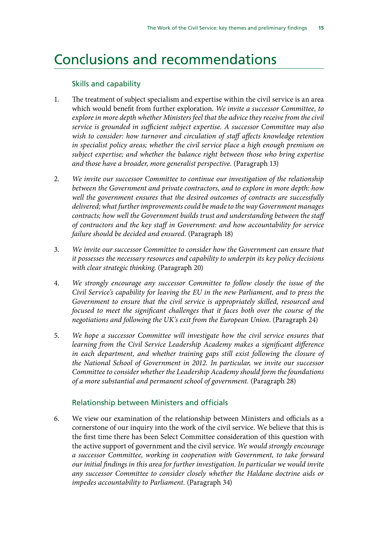## <span id="page-16-0"></span>Conclusions and recommendations

#### Skills and capability

- 1. The treatment of subject specialism and expertise within the civil service is an area which would benefit from further exploration. *We invite a successor Committee, to explore in more depth whether Ministers feel that the advice they receive from the civil service is grounded in sufficient subject expertise. A successor Committee may also wish to consider: how turnover and circulation of staff affects knowledge retention in specialist policy areas; whether the civil service place a high enough premium on subject expertise; and whether the balance right between those who bring expertise and those have a broader, more generalist perspective.* (Paragraph 13)
- 2. *We invite our successor Committee to continue our investigation of the relationship between the Government and private contractors, and to explore in more depth: how well the government ensures that the desired outcomes of contracts are successfully delivered; what further improvements could be made to the way Government manages contracts; how well the Government builds trust and understanding between the staff of contractors and the key staff in Government: and how accountability for service failure should be decided and ensured.* (Paragraph 18)
- 3. *We invite our successor Committee to consider how the Government can ensure that it possesses the necessary resources and capability to underpin its key policy decisions with clear strategic thinking.* (Paragraph 20)
- 4. *We strongly encourage any successor Committee to follow closely the issue of the Civil Service's capability for leaving the EU in the new Parliament, and to press the Government to ensure that the civil service is appropriately skilled, resourced and focused to meet the significant challenges that it faces both over the course of the negotiations and following the UK's exit from the European Union.* (Paragraph 24)
- 5. *We hope a successor Committee will investigate how the civil service ensures that learning from the Civil Service Leadership Academy makes a significant difference in each department, and whether training gaps still exist following the closure of the National School of Government in 2012. In particular, we invite our successor Committee to consider whether the Leadership Academy should form the foundations of a more substantial and permanent school of government.* (Paragraph 28)

#### Relationship between Ministers and officials

6. We view our examination of the relationship between Ministers and officials as a cornerstone of our inquiry into the work of the civil service. We believe that this is the first time there has been Select Committee consideration of this question with the active support of government and the civil service. *We would strongly encourage a successor Committee, working in cooperation with Government, to take forward our initial findings in this area for further investigation. In particular we would invite any successor Committee to consider closely whether the Haldane doctrine aids or impedes accountability to Parliament.* (Paragraph 34)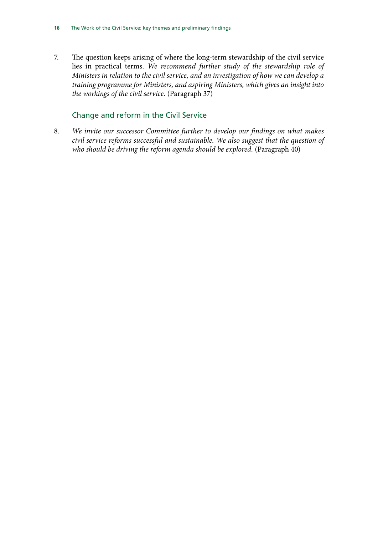7. The question keeps arising of where the long-term stewardship of the civil service lies in practical terms. *We recommend further study of the stewardship role of Ministers in relation to the civil service, and an investigation of how we can develop a training programme for Ministers, and aspiring Ministers, which gives an insight into the workings of the civil service.* (Paragraph 37)

### Change and reform in the Civil Service

8. *We invite our successor Committee further to develop our findings on what makes civil service reforms successful and sustainable. We also suggest that the question of who should be driving the reform agenda should be explored.* (Paragraph 40)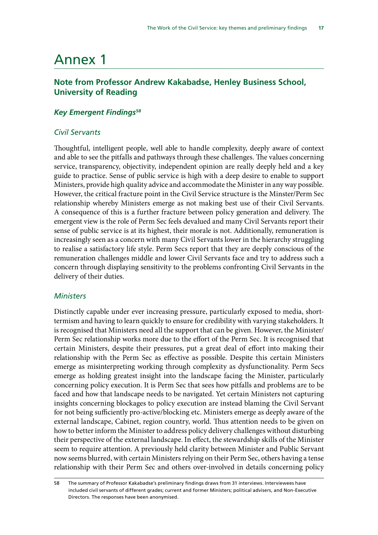# <span id="page-18-0"></span>Annex 1

### **Note from Professor Andrew Kakabadse, Henley Business School, University of Reading**

#### *Key Emergent Findings58*

#### *Civil Servants*

Thoughtful, intelligent people, well able to handle complexity, deeply aware of context and able to see the pitfalls and pathways through these challenges. The values concerning service, transparency, objectivity, independent opinion are really deeply held and a key guide to practice. Sense of public service is high with a deep desire to enable to support Ministers, provide high quality advice and accommodate the Minister in any way possible. However, the critical fracture point in the Civil Service structure is the Minster/Perm Sec relationship whereby Ministers emerge as not making best use of their Civil Servants. A consequence of this is a further fracture between policy generation and delivery. The emergent view is the role of Perm Sec feels devalued and many Civil Servants report their sense of public service is at its highest, their morale is not. Additionally, remuneration is increasingly seen as a concern with many Civil Servants lower in the hierarchy struggling to realise a satisfactory life style. Perm Secs report that they are deeply conscious of the remuneration challenges middle and lower Civil Servants face and try to address such a concern through displaying sensitivity to the problems confronting Civil Servants in the delivery of their duties.

#### *Ministers*

Distinctly capable under ever increasing pressure, particularly exposed to media, shorttermism and having to learn quickly to ensure for credibility with varying stakeholders. It is recognised that Ministers need all the support that can be given. However, the Minister/ Perm Sec relationship works more due to the effort of the Perm Sec. It is recognised that certain Ministers, despite their pressures, put a great deal of effort into making their relationship with the Perm Sec as effective as possible. Despite this certain Ministers emerge as misinterpreting working through complexity as dysfunctionality. Perm Secs emerge as holding greatest insight into the landscape facing the Minister, particularly concerning policy execution. It is Perm Sec that sees how pitfalls and problems are to be faced and how that landscape needs to be navigated. Yet certain Ministers not capturing insights concerning blockages to policy execution are instead blaming the Civil Servant for not being sufficiently pro-active/blocking etc. Ministers emerge as deeply aware of the external landscape, Cabinet, region country, world. Thus attention needs to be given on how to better inform the Minister to address policy delivery challenges without disturbing their perspective of the external landscape. In effect, the stewardship skills of the Minister seem to require attention. A previously held clarity between Minister and Public Servant now seems blurred, with certain Ministers relying on their Perm Sec, others having a tense relationship with their Perm Sec and others over-involved in details concerning policy

<sup>58</sup> The summary of Professor Kakabadse's preliminary findings draws from 31 interviews. Interviewees have included civil servants of different grades; current and former Ministers; political advisers, and Non-Executive Directors. The responses have been anonymised.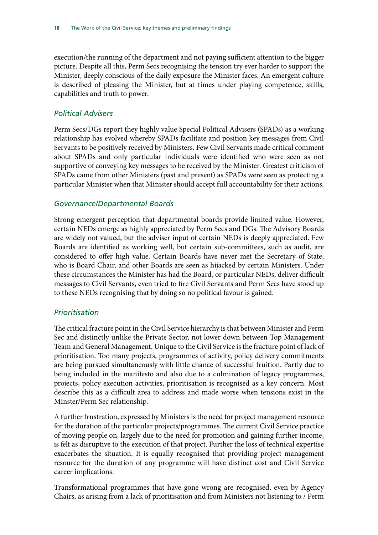execution/the running of the department and not paying sufficient attention to the bigger picture. Despite all this, Perm Secs recognising the tension try ever harder to support the Minister, deeply conscious of the daily exposure the Minister faces. An emergent culture is described of pleasing the Minister, but at times under playing competence, skills, capabilities and truth to power.

### *Political Advisers*

Perm Secs/DGs report they highly value Special Political Advisers (SPADs) as a working relationship has evolved whereby SPADs facilitate and position key messages from Civil Servants to be positively received by Ministers. Few Civil Servants made critical comment about SPADs and only particular individuals were identified who were seen as not supportive of conveying key messages to be received by the Minister. Greatest criticism of SPADs came from other Ministers (past and present) as SPADs were seen as protecting a particular Minister when that Minister should accept full accountability for their actions.

#### *Governance/Departmental Boards*

Strong emergent perception that departmental boards provide limited value. However, certain NEDs emerge as highly appreciated by Perm Secs and DGs. The Advisory Boards are widely not valued, but the adviser input of certain NEDs is deeply appreciated. Few Boards are identified as working well, but certain sub-committees, such as audit, are considered to offer high value. Certain Boards have never met the Secretary of State, who is Board Chair, and other Boards are seen as hijacked by certain Ministers. Under these circumstances the Minister has had the Board, or particular NEDs, deliver difficult messages to Civil Servants, even tried to fire Civil Servants and Perm Secs have stood up to these NEDs recognising that by doing so no political favour is gained.

#### *Prioritisation*

The critical fracture point in the Civil Service hierarchy is that between Minister and Perm Sec and distinctly unlike the Private Sector, not lower down between Top Management Team and General Management. Unique to the Civil Service is the fracture point of lack of prioritisation. Too many projects, programmes of activity, policy delivery commitments are being pursued simultaneously with little chance of successful fruition. Partly due to being included in the manifesto and also due to a culmination of legacy programmes, projects, policy execution activities, prioritisation is recognised as a key concern. Most describe this as a difficult area to address and made worse when tensions exist in the Minster/Perm Sec relationship.

A further frustration, expressed by Ministers is the need for project management resource for the duration of the particular projects/programmes. The current Civil Service practice of moving people on, largely due to the need for promotion and gaining further income, is felt as disruptive to the execution of that project. Further the loss of technical expertise exacerbates the situation. It is equally recognised that providing project management resource for the duration of any programme will have distinct cost and Civil Service career implications.

Transformational programmes that have gone wrong are recognised, even by Agency Chairs, as arising from a lack of prioritisation and from Ministers not listening to / Perm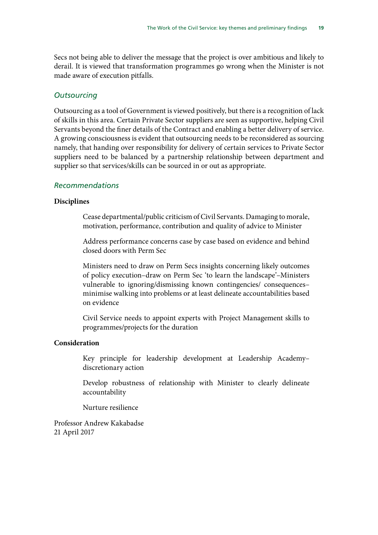Secs not being able to deliver the message that the project is over ambitious and likely to derail. It is viewed that transformation programmes go wrong when the Minister is not made aware of execution pitfalls.

#### *Outsourcing*

Outsourcing as a tool of Government is viewed positively, but there is a recognition of lack of skills in this area. Certain Private Sector suppliers are seen as supportive, helping Civil Servants beyond the finer details of the Contract and enabling a better delivery of service. A growing consciousness is evident that outsourcing needs to be reconsidered as sourcing namely, that handing over responsibility for delivery of certain services to Private Sector suppliers need to be balanced by a partnership relationship between department and supplier so that services/skills can be sourced in or out as appropriate.

#### *Recommendations*

#### **Disciplines**

Cease departmental/public criticism of Civil Servants. Damaging to morale, motivation, performance, contribution and quality of advice to Minister

Address performance concerns case by case based on evidence and behind closed doors with Perm Sec

Ministers need to draw on Perm Secs insights concerning likely outcomes of policy execution–draw on Perm Sec 'to learn the landscape'–Ministers vulnerable to ignoring/dismissing known contingencies/ consequences– minimise walking into problems or at least delineate accountabilities based on evidence

Civil Service needs to appoint experts with Project Management skills to programmes/projects for the duration

#### **Consideration**

Key principle for leadership development at Leadership Academy– discretionary action

Develop robustness of relationship with Minister to clearly delineate accountability

Nurture resilience

Professor Andrew Kakabadse 21 April 2017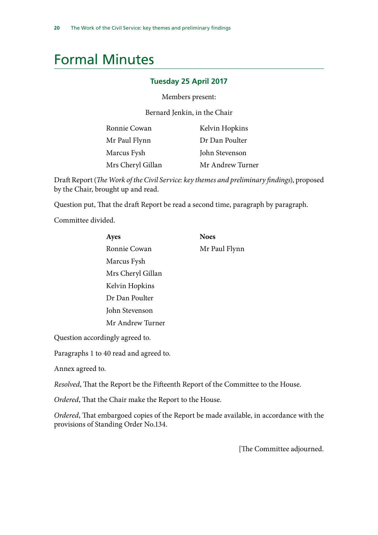# <span id="page-21-0"></span>Formal Minutes

#### **Tuesday 25 April 2017**

Members present:

Bernard Jenkin, in the Chair

| Ronnie Cowan      | Kelvin Hopkins   |
|-------------------|------------------|
| Mr Paul Flynn     | Dr Dan Poulter   |
| Marcus Fysh       | John Stevenson   |
| Mrs Cheryl Gillan | Mr Andrew Turner |

Draft Report (*The Work of the Civil Service: key themes and preliminary findings*), proposed by the Chair, brought up and read.

Question put, That the draft Report be read a second time, paragraph by paragraph.

Committee divided.

| Ayes              | <b>Noes</b>   |
|-------------------|---------------|
| Ronnie Cowan      | Mr Paul Flynn |
| Marcus Fysh       |               |
| Mrs Cheryl Gillan |               |
| Kelvin Hopkins    |               |
| Dr Dan Poulter    |               |
| John Stevenson    |               |
| Mr Andrew Turner  |               |
|                   |               |

Question accordingly agreed to.

Paragraphs 1 to 40 read and agreed to.

Annex agreed to.

*Resolved*, That the Report be the Fifteenth Report of the Committee to the House.

*Ordered*, That the Chair make the Report to the House.

*Ordered*, That embargoed copies of the Report be made available, in accordance with the provisions of Standing Order No.134.

[The Committee adjourned.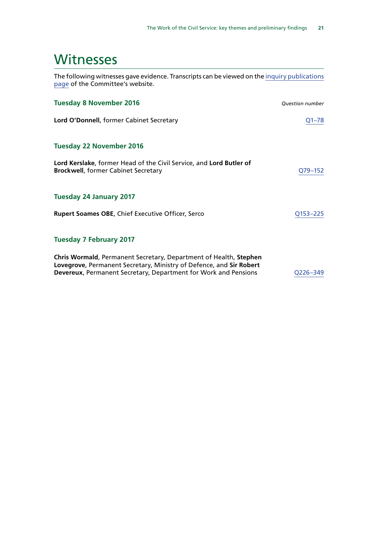# <span id="page-22-0"></span>**Witnesses**

The following witnesses gave evidence. Transcripts can be viewed on the [inquiry publications](http://www.parliament.uk/business/committees/committees-a-z/commons-select/public-administration-and-constitutional-affairs-committee/inquiries/parliament-2015/work-of-the-civil-service-15-16/publications/) [page](http://www.parliament.uk/business/committees/committees-a-z/commons-select/public-administration-and-constitutional-affairs-committee/inquiries/parliament-2015/work-of-the-civil-service-15-16/publications/) of the Committee's website.

| <b>Tuesday 8 November 2016</b>                                                                                                                                                                              | <b>Question number</b> |
|-------------------------------------------------------------------------------------------------------------------------------------------------------------------------------------------------------------|------------------------|
| Lord O'Donnell, former Cabinet Secretary                                                                                                                                                                    | Q1–78                  |
| <b>Tuesday 22 November 2016</b>                                                                                                                                                                             |                        |
| Lord Kerslake, former Head of the Civil Service, and Lord Butler of<br><b>Brockwell, former Cabinet Secretary</b>                                                                                           | Q79–152                |
| <b>Tuesday 24 January 2017</b>                                                                                                                                                                              |                        |
| <b>Rupert Soames OBE, Chief Executive Officer, Serco</b>                                                                                                                                                    | Q153-225               |
| <b>Tuesday 7 February 2017</b>                                                                                                                                                                              |                        |
| Chris Wormald, Permanent Secretary, Department of Health, Stephen<br>Lovegrove, Permanent Secretary, Ministry of Defence, and Sir Robert<br>Devereux, Permanent Secretary, Department for Work and Pensions | Q226-349               |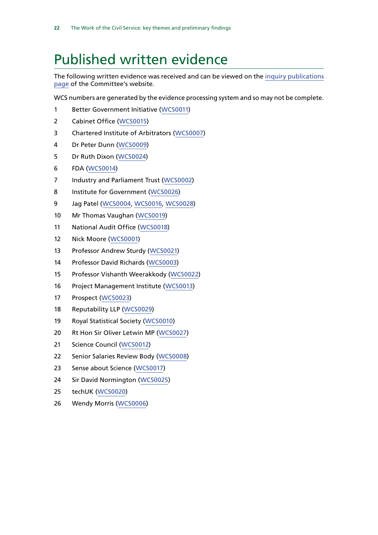# <span id="page-23-0"></span>Published written evidence

The following written evidence was received and can be viewed on the [inquiry publications](http://www.parliament.uk/business/committees/committees-a-z/commons-select/public-administration-and-constitutional-affairs-committee/inquiries/parliament-2015/work-of-the-civil-service-15-16/publications/) [page](http://www.parliament.uk/business/committees/committees-a-z/commons-select/public-administration-and-constitutional-affairs-committee/inquiries/parliament-2015/work-of-the-civil-service-15-16/publications/) of the Committee's website.

WCS numbers are generated by the evidence processing system and so may not be complete.

- Better Government Initiative [\(WCS0011\)](http://data.parliament.uk/WrittenEvidence/CommitteeEvidence.svc/EvidenceDocument/Public%20Administration%20and%20Constitutional%20Affairs%20Committee%20/The%20work%20of%20the%20Civil%20Service/written/34210.html)
- Cabinet Office ([WCS0015](http://data.parliament.uk/WrittenEvidence/CommitteeEvidence.svc/EvidenceDocument/Public%20Administration%20and%20Constitutional%20Affairs%20Committee%20/The%20work%20of%20the%20Civil%20Service/written/34566.html))
- Chartered Institute of Arbitrators ([WCS0007](http://data.parliament.uk/WrittenEvidence/CommitteeEvidence.svc/EvidenceDocument/Public%20Administration%20and%20Constitutional%20Affairs%20Committee%20/The%20work%20of%20the%20Civil%20Service/written/34119.html))
- Dr Peter Dunn ([WCS0009](http://data.parliament.uk/WrittenEvidence/CommitteeEvidence.svc/EvidenceDocument/Public%20Administration%20and%20Constitutional%20Affairs%20Committee%20/The%20work%20of%20the%20Civil%20Service/written/34191.html))
- Dr Ruth Dixon ([WCS0024\)](http://data.parliament.uk/WrittenEvidence/CommitteeEvidence.svc/EvidenceDocument/Public%20Administration%20and%20Constitutional%20Affairs%20Committee%20/The%20work%20of%20the%20Civil%20Service/written/46167.html)
- FDA ([WCS0014](http://data.parliament.uk/WrittenEvidence/CommitteeEvidence.svc/EvidenceDocument/Public%20Administration%20and%20Constitutional%20Affairs%20Committee%20/The%20work%20of%20the%20Civil%20Service/written/34477.html))
- 7 Industry and Parliament Trust ([WCS0002](http://data.parliament.uk/WrittenEvidence/CommitteeEvidence.svc/EvidenceDocument/Public%20Administration%20and%20Constitutional%20Affairs%20Committee%20/The%20work%20of%20the%20Civil%20Service/written/33244.html))
- Institute for Government ([WCS0026](http://data.parliament.uk/WrittenEvidence/CommitteeEvidence.svc/EvidenceDocument/Public%20Administration%20and%20Constitutional%20Affairs%20Committee%20/The%20work%20of%20the%20Civil%20Service/written/46411.html))
- Jag Patel ([WCS0004](http://data.parliament.uk/WrittenEvidence/CommitteeEvidence.svc/EvidenceDocument/Public%20Administration%20and%20Constitutional%20Affairs%20Committee%20/The%20work%20of%20the%20Civil%20Service/written/33592.html), [WCS0016](http://data.parliament.uk/WrittenEvidence/CommitteeEvidence.svc/EvidenceDocument/Public%20Administration%20and%20Constitutional%20Affairs%20Committee%20/The%20work%20of%20the%20Civil%20Service/written/34717.html), [WCS0028\)](http://data.parliament.uk/WrittenEvidence/CommitteeEvidence.svc/EvidenceDocument/Public%20Administration%20and%20Constitutional%20Affairs%20Committee%20/The%20work%20of%20the%20Civil%20Service/written/47285.html)
- Mr Thomas Vaughan ([WCS0019](http://data.parliament.uk/WrittenEvidence/CommitteeEvidence.svc/EvidenceDocument/Public%20Administration%20and%20Constitutional%20Affairs%20Committee%20/The%20work%20of%20the%20Civil%20Service/written/37357.html))
- National Audit Office ([WCS0018\)](http://data.parliament.uk/WrittenEvidence/CommitteeEvidence.svc/EvidenceDocument/Public%20Administration%20and%20Constitutional%20Affairs%20Committee%20/The%20work%20of%20the%20Civil%20Service/written/35544.html)
- Nick Moore ([WCS0001](http://data.parliament.uk/WrittenEvidence/CommitteeEvidence.svc/EvidenceDocument/Public%20Administration%20and%20Constitutional%20Affairs%20Committee%20/The%20work%20of%20the%20Civil%20Service/written/32199.html))
- Professor Andrew Sturdy ([WCS0021](http://data.parliament.uk/WrittenEvidence/CommitteeEvidence.svc/EvidenceDocument/Public%20Administration%20and%20Constitutional%20Affairs%20Committee%20/The%20work%20of%20the%20Civil%20Service/written/44494.html))
- Professor David Richards ([WCS0003](http://data.parliament.uk/WrittenEvidence/CommitteeEvidence.svc/EvidenceDocument/Public%20Administration%20and%20Constitutional%20Affairs%20Committee%20/The%20work%20of%20the%20Civil%20Service/written/33483.html))
- Professor Vishanth Weerakkody ([WCS0022\)](http://data.parliament.uk/WrittenEvidence/CommitteeEvidence.svc/EvidenceDocument/Public%20Administration%20and%20Constitutional%20Affairs%20Committee%20/The%20work%20of%20the%20Civil%20Service/written/44611.html)
- Project Management Institute ([WCS0013\)](http://data.parliament.uk/WrittenEvidence/CommitteeEvidence.svc/EvidenceDocument/Public%20Administration%20and%20Constitutional%20Affairs%20Committee%20/The%20work%20of%20the%20Civil%20Service/written/34342.html)
- Prospect ([WCS0023\)](http://data.parliament.uk/WrittenEvidence/CommitteeEvidence.svc/EvidenceDocument/Public%20Administration%20and%20Constitutional%20Affairs%20Committee%20/The%20work%20of%20the%20Civil%20Service/written/45984.html)
- Reputability LLP ([WCS0029](http://data.parliament.uk/WrittenEvidence/CommitteeEvidence.svc/EvidenceDocument/Public%20Administration%20and%20Constitutional%20Affairs%20Committee%20/The%20work%20of%20the%20Civil%20Service/written/49741.html))
- Royal Statistical Society ([WCS0010](http://data.parliament.uk/WrittenEvidence/CommitteeEvidence.svc/EvidenceDocument/Public%20Administration%20and%20Constitutional%20Affairs%20Committee%20/The%20work%20of%20the%20Civil%20Service/written/34205.html))
- Rt Hon Sir Oliver Letwin MP ([WCS0027](http://data.parliament.uk/WrittenEvidence/CommitteeEvidence.svc/EvidenceDocument/Public%20Administration%20and%20Constitutional%20Affairs%20Committee%20/The%20work%20of%20the%20Civil%20Service/written/47070.html))
- Science Council ([WCS0012](http://data.parliament.uk/WrittenEvidence/CommitteeEvidence.svc/EvidenceDocument/Public%20Administration%20and%20Constitutional%20Affairs%20Committee%20/The%20work%20of%20the%20Civil%20Service/written/34216.html))
- Senior Salaries Review Body ([WCS0008](http://data.parliament.uk/WrittenEvidence/CommitteeEvidence.svc/EvidenceDocument/Public%20Administration%20and%20Constitutional%20Affairs%20Committee%20/The%20work%20of%20the%20Civil%20Service/written/34186.html))
- Sense about Science ([WCS0017](http://data.parliament.uk/WrittenEvidence/CommitteeEvidence.svc/EvidenceDocument/Public%20Administration%20and%20Constitutional%20Affairs%20Committee%20/The%20work%20of%20the%20Civil%20Service/written/34898.html))
- Sir David Normington ([WCS0025\)](http://data.parliament.uk/WrittenEvidence/CommitteeEvidence.svc/EvidenceDocument/Public%20Administration%20and%20Constitutional%20Affairs%20Committee%20/The%20work%20of%20the%20Civil%20Service/written/46384.html)
- techUK ([WCS0020\)](http://data.parliament.uk/WrittenEvidence/CommitteeEvidence.svc/EvidenceDocument/Public%20Administration%20and%20Constitutional%20Affairs%20Committee%20/The%20work%20of%20the%20Civil%20Service/written/37848.html)
- Wendy Morris ([WCS0006](http://data.parliament.uk/WrittenEvidence/CommitteeEvidence.svc/EvidenceDocument/Public%20Administration%20and%20Constitutional%20Affairs%20Committee%20/The%20work%20of%20the%20Civil%20Service/written/34102.html))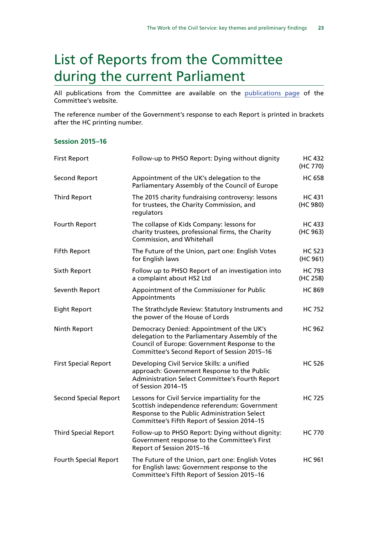# <span id="page-24-0"></span>List of Reports from the Committee during the current Parliament

All publications from the Committee are available on the [publications page](http://www.parliament.uk/business/committees/committees-a-z/commons-select/public-administration-and-constitutional-affairs-committee/publications/) of the Committee's website.

The reference number of the Government's response to each Report is printed in brackets after the HC printing number.

#### **Session 2015–16**

| <b>First Report</b>          | Follow-up to PHSO Report: Dying without dignity                                                                                                                                               | <b>HC 432</b><br>(HC 770) |
|------------------------------|-----------------------------------------------------------------------------------------------------------------------------------------------------------------------------------------------|---------------------------|
| <b>Second Report</b>         | Appointment of the UK's delegation to the<br>Parliamentary Assembly of the Council of Europe                                                                                                  | <b>HC 658</b>             |
| <b>Third Report</b>          | The 2015 charity fundraising controversy: lessons<br>for trustees, the Charity Commission, and<br>regulators                                                                                  | <b>HC 431</b><br>(HC 980) |
| Fourth Report                | The collapse of Kids Company: lessons for<br>charity trustees, professional firms, the Charity<br>Commission, and Whitehall                                                                   | <b>HC 433</b><br>(HC 963) |
| <b>Fifth Report</b>          | The Future of the Union, part one: English Votes<br>for English laws                                                                                                                          | <b>HC 523</b><br>(HC 961) |
| Sixth Report                 | Follow up to PHSO Report of an investigation into<br>a complaint about HS2 Ltd                                                                                                                | <b>HC 793</b><br>(HC 258) |
| Seventh Report               | Appointment of the Commissioner for Public<br>Appointments                                                                                                                                    | <b>HC 869</b>             |
| <b>Eight Report</b>          | The Strathclyde Review: Statutory Instruments and<br>the power of the House of Lords                                                                                                          | <b>HC 752</b>             |
| Ninth Report                 | Democracy Denied: Appointment of the UK's<br>delegation to the Parliamentary Assembly of the<br>Council of Europe: Government Response to the<br>Committee's Second Report of Session 2015-16 | <b>HC 962</b>             |
| <b>First Special Report</b>  | Developing Civil Service Skills: a unified<br>approach: Government Response to the Public<br>Administration Select Committee's Fourth Report<br>of Session 2014-15                            | <b>HC 526</b>             |
| <b>Second Special Report</b> | Lessons for Civil Service impartiality for the<br>Scottish independence referendum: Government<br>Response to the Public Administration Select<br>Committee's Fifth Report of Session 2014-15 | <b>HC 725</b>             |
| <b>Third Special Report</b>  | Follow-up to PHSO Report: Dying without dignity:<br>Government response to the Committee's First<br>Report of Session 2015-16                                                                 | <b>HC 770</b>             |
| <b>Fourth Special Report</b> | The Future of the Union, part one: English Votes<br>for English laws: Government response to the<br>Committee's Fifth Report of Session 2015-16                                               | <b>HC 961</b>             |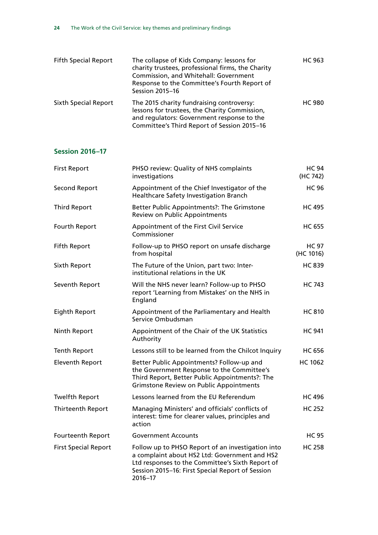| <b>Fifth Special Report</b> | The collapse of Kids Company: lessons for<br>charity trustees, professional firms, the Charity<br>Commission, and Whitehall: Government<br>Response to the Committee's Fourth Report of<br><b>Session 2015-16</b> | <b>HC 963</b> |
|-----------------------------|-------------------------------------------------------------------------------------------------------------------------------------------------------------------------------------------------------------------|---------------|
| <b>Sixth Special Report</b> | The 2015 charity fundraising controversy:<br>lessons for trustees, the Charity Commission,<br>and regulators: Government response to the<br>Committee's Third Report of Session 2015-16                           | <b>HC 980</b> |

### **Session 2016–17**

| <b>First Report</b>         | PHSO review: Quality of NHS complaints<br>investigations                                                                                                                                                              | <b>HC 94</b><br>(HC 742)  |
|-----------------------------|-----------------------------------------------------------------------------------------------------------------------------------------------------------------------------------------------------------------------|---------------------------|
| <b>Second Report</b>        | Appointment of the Chief Investigator of the<br>Healthcare Safety Investigation Branch                                                                                                                                | <b>HC 96</b>              |
| <b>Third Report</b>         | Better Public Appointments?: The Grimstone<br><b>Review on Public Appointments</b>                                                                                                                                    | <b>HC 495</b>             |
| Fourth Report               | Appointment of the First Civil Service<br>Commissioner                                                                                                                                                                | <b>HC 655</b>             |
| <b>Fifth Report</b>         | Follow-up to PHSO report on unsafe discharge<br>from hospital                                                                                                                                                         | <b>HC 97</b><br>(HC 1016) |
| Sixth Report                | The Future of the Union, part two: Inter-<br>institutional relations in the UK                                                                                                                                        | <b>HC 839</b>             |
| Seventh Report              | Will the NHS never learn? Follow-up to PHSO<br>report 'Learning from Mistakes' on the NHS in<br>England                                                                                                               | <b>HC 743</b>             |
| Eighth Report               | Appointment of the Parliamentary and Health<br>Service Ombudsman                                                                                                                                                      | <b>HC 810</b>             |
| Ninth Report                | Appointment of the Chair of the UK Statistics<br>Authority                                                                                                                                                            | <b>HC 941</b>             |
| <b>Tenth Report</b>         | Lessons still to be learned from the Chilcot Inquiry                                                                                                                                                                  | <b>HC 656</b>             |
| <b>Eleventh Report</b>      | Better Public Appointments? Follow-up and<br>the Government Response to the Committee's<br>Third Report, Better Public Appointments?: The<br><b>Grimstone Review on Public Appointments</b>                           | <b>HC 1062</b>            |
| <b>Twelfth Report</b>       | Lessons learned from the EU Referendum                                                                                                                                                                                | <b>HC 496</b>             |
| <b>Thirteenth Report</b>    | Managing Ministers' and officials' conflicts of<br>interest: time for clearer values, principles and<br>action                                                                                                        | <b>HC 252</b>             |
| Fourteenth Report           | <b>Government Accounts</b>                                                                                                                                                                                            | <b>HC 95</b>              |
| <b>First Special Report</b> | Follow up to PHSO Report of an investigation into<br>a complaint about HS2 Ltd: Government and HS2<br>Ltd responses to the Committee's Sixth Report of<br>Session 2015-16: First Special Report of Session<br>2016-17 | <b>HC 258</b>             |